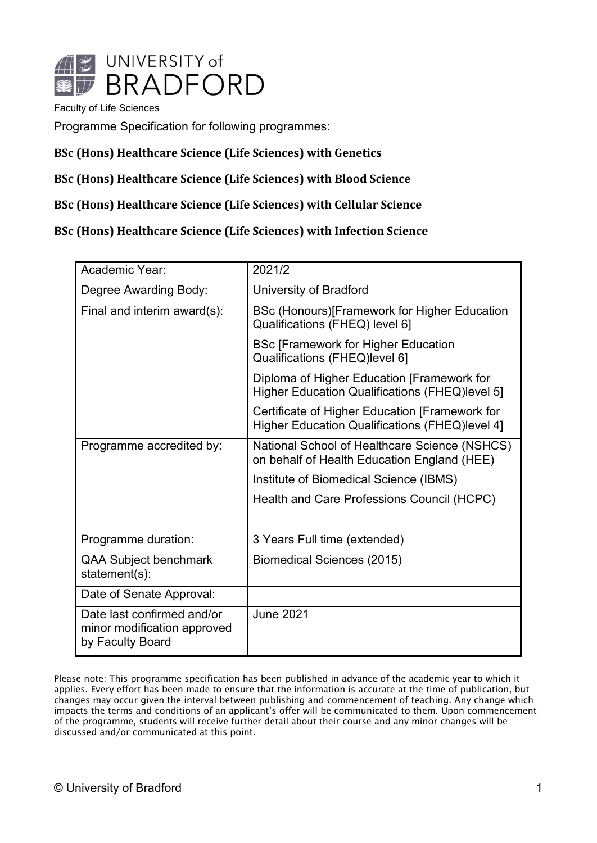

Faculty of Life Sciences

Programme Specification for following programmes:

#### **BSc (Hons) Healthcare Science (Life Sciences) with Genetics**

#### **BSc (Hons) Healthcare Science (Life Sciences) with Blood Science**

#### **BSc (Hons) Healthcare Science (Life Sciences) with Cellular Science**

**BSc (Hons) Healthcare Science (Life Sciences) with Infection Science**

| Academic Year:                                                                | 2021/2                                                                                           |
|-------------------------------------------------------------------------------|--------------------------------------------------------------------------------------------------|
| Degree Awarding Body:                                                         | University of Bradford                                                                           |
| Final and interim award(s):                                                   | BSc (Honours) [Framework for Higher Education<br>Qualifications (FHEQ) level 6]                  |
|                                                                               | <b>BSc [Framework for Higher Education</b><br>Qualifications (FHEQ)level 6]                      |
|                                                                               | Diploma of Higher Education [Framework for<br>Higher Education Qualifications (FHEQ)level 5]     |
|                                                                               | Certificate of Higher Education [Framework for<br>Higher Education Qualifications (FHEQ)level 4] |
| Programme accredited by:                                                      | National School of Healthcare Science (NSHCS)<br>on behalf of Health Education England (HEE)     |
|                                                                               | Institute of Biomedical Science (IBMS)                                                           |
|                                                                               | Health and Care Professions Council (HCPC)                                                       |
|                                                                               |                                                                                                  |
| Programme duration:                                                           | 3 Years Full time (extended)                                                                     |
| QAA Subject benchmark<br>statement(s):                                        | Biomedical Sciences (2015)                                                                       |
| Date of Senate Approval:                                                      |                                                                                                  |
| Date last confirmed and/or<br>minor modification approved<br>by Faculty Board | <b>June 2021</b>                                                                                 |

Please note: This programme specification has been published in advance of the academic year to which it applies. Every effort has been made to ensure that the information is accurate at the time of publication, but changes may occur given the interval between publishing and commencement of teaching. Any change which impacts the terms and conditions of an applicant's offer will be communicated to them. Upon commencement of the programme, students will receive further detail about their course and any minor changes will be discussed and/or communicated at this point.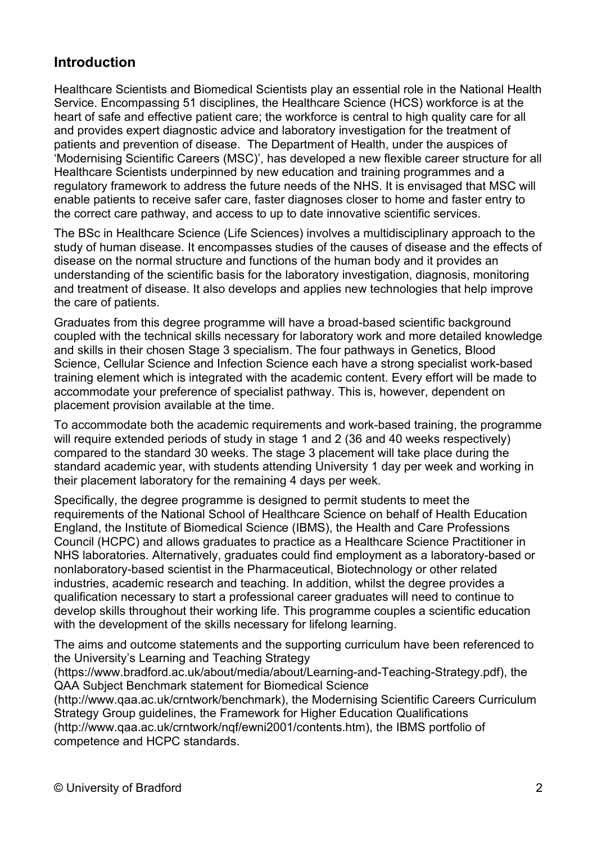## **Introduction**

Healthcare Scientists and Biomedical Scientists play an essential role in the National Health Service. Encompassing 51 disciplines, the Healthcare Science (HCS) workforce is at the heart of safe and effective patient care; the workforce is central to high quality care for all and provides expert diagnostic advice and laboratory investigation for the treatment of patients and prevention of disease. The Department of Health, under the auspices of 'Modernising Scientific Careers (MSC)', has developed a new flexible career structure for all Healthcare Scientists underpinned by new education and training programmes and a regulatory framework to address the future needs of the NHS. It is envisaged that MSC will enable patients to receive safer care, faster diagnoses closer to home and faster entry to the correct care pathway, and access to up to date innovative scientific services.

The BSc in Healthcare Science (Life Sciences) involves a multidisciplinary approach to the study of human disease. It encompasses studies of the causes of disease and the effects of disease on the normal structure and functions of the human body and it provides an understanding of the scientific basis for the laboratory investigation, diagnosis, monitoring and treatment of disease. It also develops and applies new technologies that help improve the care of patients.

Graduates from this degree programme will have a broad-based scientific background coupled with the technical skills necessary for laboratory work and more detailed knowledge and skills in their chosen Stage 3 specialism. The four pathways in Genetics, Blood Science, Cellular Science and Infection Science each have a strong specialist work-based training element which is integrated with the academic content. Every effort will be made to accommodate your preference of specialist pathway. This is, however, dependent on placement provision available at the time.

To accommodate both the academic requirements and work-based training, the programme will require extended periods of study in stage 1 and 2 (36 and 40 weeks respectively) compared to the standard 30 weeks. The stage 3 placement will take place during the standard academic year, with students attending University 1 day per week and working in their placement laboratory for the remaining 4 days per week.

Specifically, the degree programme is designed to permit students to meet the requirements of the National School of Healthcare Science on behalf of Health Education England, the Institute of Biomedical Science (IBMS), the Health and Care Professions Council (HCPC) and allows graduates to practice as a Healthcare Science Practitioner in NHS laboratories. Alternatively, graduates could find employment as a laboratory-based or nonlaboratory-based scientist in the Pharmaceutical, Biotechnology or other related industries, academic research and teaching. In addition, whilst the degree provides a qualification necessary to start a professional career graduates will need to continue to develop skills throughout their working life. This programme couples a scientific education with the development of the skills necessary for lifelong learning.

The aims and outcome statements and the supporting curriculum have been referenced to the University's Learning and Teaching Strategy

[\(https://www.bradford.ac.uk/about/media/about/Learning-and-Teaching-Strategy.pdf\)](https://www.bradford.ac.uk/about/media/about/Learning-and-Teaching-Strategy.pdf), the QAA Subject Benchmark statement for Biomedical Science

[\(http://www.qaa.ac.uk/crntwork/benchmark\)](http://www.qaa.ac.uk/crntwork/benchmark), the Modernising Scientific Careers Curriculum Strategy Group guidelines, the Framework for Higher Education Qualifications [\(http://www.qaa.ac.uk/crntwork/nqf/ewni2001/contents.htm\)](http://www.qaa.ac.uk/crntwork/nqf/ewni2001/contents.htm), the IBMS portfolio of competence and HCPC standards.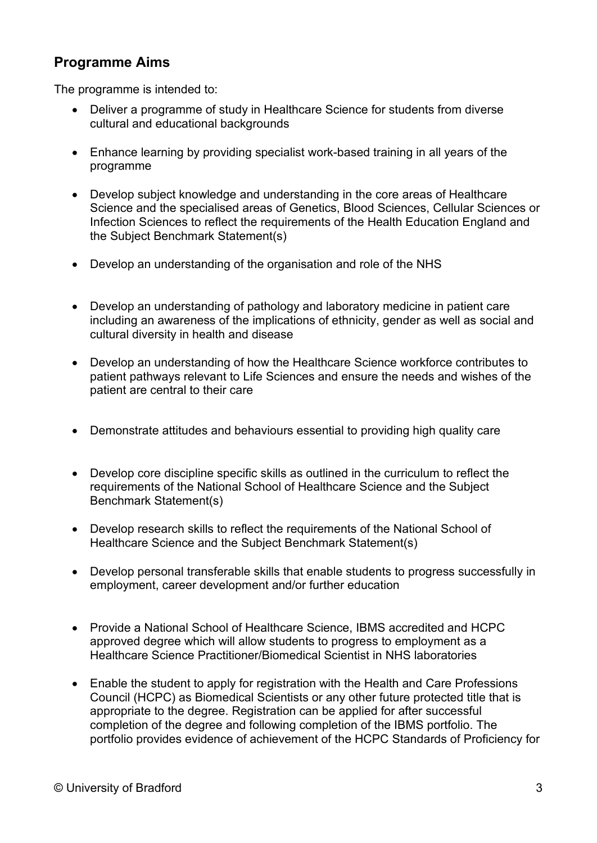### **Programme Aims**

The programme is intended to:

- Deliver a programme of study in Healthcare Science for students from diverse cultural and educational backgrounds
- Enhance learning by providing specialist work-based training in all years of the programme
- Develop subject knowledge and understanding in the core areas of Healthcare Science and the specialised areas of Genetics, Blood Sciences, Cellular Sciences or Infection Sciences to reflect the requirements of the Health Education England and the Subject Benchmark Statement(s)
- Develop an understanding of the organisation and role of the NHS
- Develop an understanding of pathology and laboratory medicine in patient care including an awareness of the implications of ethnicity, gender as well as social and cultural diversity in health and disease
- Develop an understanding of how the Healthcare Science workforce contributes to patient pathways relevant to Life Sciences and ensure the needs and wishes of the patient are central to their care
- Demonstrate attitudes and behaviours essential to providing high quality care
- Develop core discipline specific skills as outlined in the curriculum to reflect the requirements of the National School of Healthcare Science and the Subject Benchmark Statement(s)
- Develop research skills to reflect the requirements of the National School of Healthcare Science and the Subject Benchmark Statement(s)
- Develop personal transferable skills that enable students to progress successfully in employment, career development and/or further education
- Provide a National School of Healthcare Science, IBMS accredited and HCPC approved degree which will allow students to progress to employment as a Healthcare Science Practitioner/Biomedical Scientist in NHS laboratories
- Enable the student to apply for registration with the Health and Care Professions Council (HCPC) as Biomedical Scientists or any other future protected title that is appropriate to the degree. Registration can be applied for after successful completion of the degree and following completion of the IBMS portfolio. The portfolio provides evidence of achievement of the HCPC Standards of Proficiency for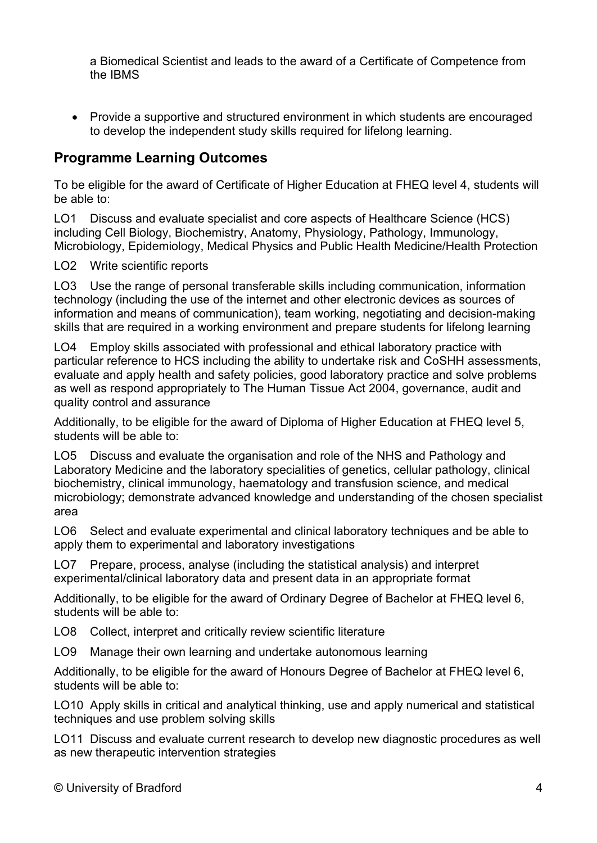a Biomedical Scientist and leads to the award of a Certificate of Competence from the IBMS

• Provide a supportive and structured environment in which students are encouraged to develop the independent study skills required for lifelong learning.

### **Programme Learning Outcomes**

To be eligible for the award of Certificate of Higher Education at FHEQ level 4, students will be able to:

LO1 Discuss and evaluate specialist and core aspects of Healthcare Science (HCS) including Cell Biology, Biochemistry, Anatomy, Physiology, Pathology, Immunology, Microbiology, Epidemiology, Medical Physics and Public Health Medicine/Health Protection

LO2 Write scientific reports

LO3 Use the range of personal transferable skills including communication, information technology (including the use of the internet and other electronic devices as sources of information and means of communication), team working, negotiating and decision-making skills that are required in a working environment and prepare students for lifelong learning

LO4 Employ skills associated with professional and ethical laboratory practice with particular reference to HCS including the ability to undertake risk and CoSHH assessments, evaluate and apply health and safety policies, good laboratory practice and solve problems as well as respond appropriately to The Human Tissue Act 2004, governance, audit and quality control and assurance

Additionally, to be eligible for the award of Diploma of Higher Education at FHEQ level 5, students will be able to:

LO5 Discuss and evaluate the organisation and role of the NHS and Pathology and Laboratory Medicine and the laboratory specialities of genetics, cellular pathology, clinical biochemistry, clinical immunology, haematology and transfusion science, and medical microbiology; demonstrate advanced knowledge and understanding of the chosen specialist area

LO6 Select and evaluate experimental and clinical laboratory techniques and be able to apply them to experimental and laboratory investigations

LO7 Prepare, process, analyse (including the statistical analysis) and interpret experimental/clinical laboratory data and present data in an appropriate format

Additionally, to be eligible for the award of Ordinary Degree of Bachelor at FHEQ level 6, students will be able to:

LO8 Collect, interpret and critically review scientific literature

LO9 Manage their own learning and undertake autonomous learning

Additionally, to be eligible for the award of Honours Degree of Bachelor at FHEQ level 6, students will be able to:

LO10 Apply skills in critical and analytical thinking, use and apply numerical and statistical techniques and use problem solving skills

LO11 Discuss and evaluate current research to develop new diagnostic procedures as well as new therapeutic intervention strategies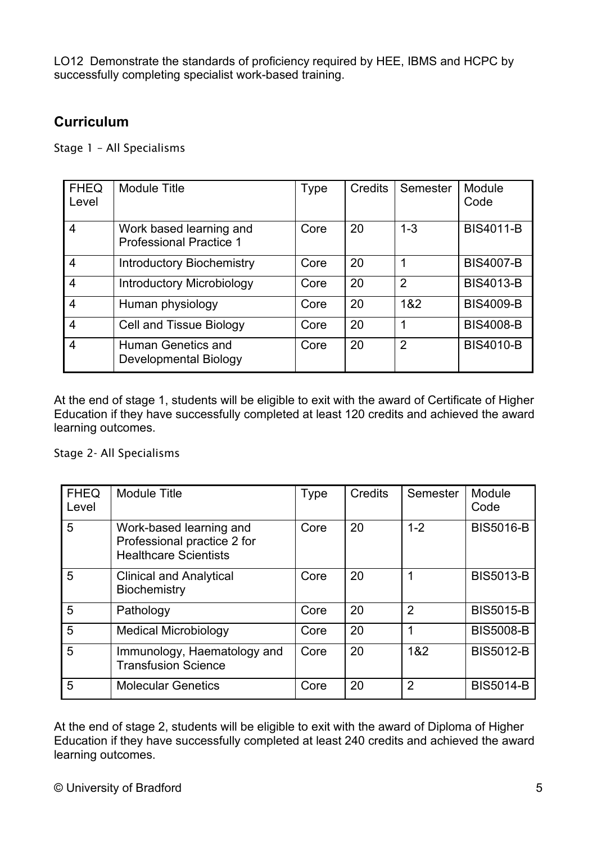LO12 Demonstrate the standards of proficiency required by HEE, IBMS and HCPC by successfully completing specialist work-based training.

## **Curriculum**

Stage 1 – All Specialisms

| <b>FHEQ</b><br>Level | <b>Module Title</b>                                       | Type | Credits | Semester       | Module<br>Code   |
|----------------------|-----------------------------------------------------------|------|---------|----------------|------------------|
| 4                    | Work based learning and<br><b>Professional Practice 1</b> | Core | 20      | $1 - 3$        | <b>BIS4011-B</b> |
| $\overline{4}$       | <b>Introductory Biochemistry</b>                          | Core | 20      | 1              | <b>BIS4007-B</b> |
| $\overline{4}$       | <b>Introductory Microbiology</b>                          | Core | 20      | $\overline{2}$ | <b>BIS4013-B</b> |
| $\overline{4}$       | Human physiology                                          | Core | 20      | 1&2            | <b>BIS4009-B</b> |
| $\overline{4}$       | <b>Cell and Tissue Biology</b>                            | Core | 20      | 1              | <b>BIS4008-B</b> |
| $\overline{4}$       | Human Genetics and<br><b>Developmental Biology</b>        | Core | 20      | $\overline{2}$ | <b>BIS4010-B</b> |

At the end of stage 1, students will be eligible to exit with the award of Certificate of Higher Education if they have successfully completed at least 120 credits and achieved the award learning outcomes.

Stage 2- All Specialisms

| <b>FHEQ</b><br>Level | <b>Module Title</b>                                                                    | <b>Type</b> | Credits | Semester       | Module<br>Code   |
|----------------------|----------------------------------------------------------------------------------------|-------------|---------|----------------|------------------|
| 5                    | Work-based learning and<br>Professional practice 2 for<br><b>Healthcare Scientists</b> | Core        | 20      | $1 - 2$        | <b>BIS5016-B</b> |
| 5                    | <b>Clinical and Analytical</b><br><b>Biochemistry</b>                                  | Core        | 20      |                | <b>BIS5013-B</b> |
| 5                    | Pathology                                                                              | Core        | 20      | $\overline{2}$ | <b>BIS5015-B</b> |
| 5                    | <b>Medical Microbiology</b>                                                            | Core        | 20      |                | <b>BIS5008-B</b> |
| 5                    | Immunology, Haematology and<br><b>Transfusion Science</b>                              | Core        | 20      | 1&2            | <b>BIS5012-B</b> |
| 5                    | <b>Molecular Genetics</b>                                                              | Core        | 20      | $\overline{2}$ | <b>BIS5014-B</b> |

At the end of stage 2, students will be eligible to exit with the award of Diploma of Higher Education if they have successfully completed at least 240 credits and achieved the award learning outcomes.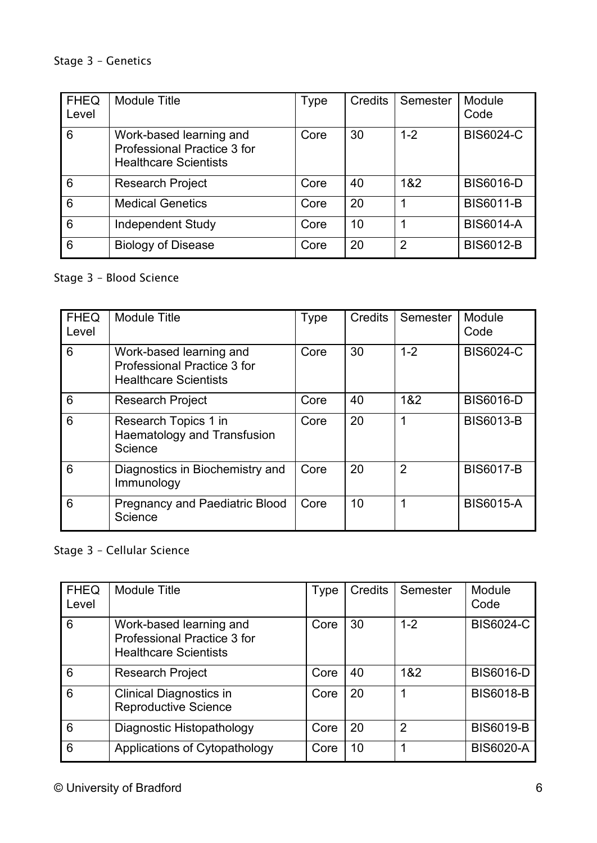#### Stage 3 – Genetics

| <b>FHEQ</b><br>Level | <b>Module Title</b>                                                                    | <b>Type</b> | Credits | Semester       | Module<br>Code   |
|----------------------|----------------------------------------------------------------------------------------|-------------|---------|----------------|------------------|
| 6                    | Work-based learning and<br>Professional Practice 3 for<br><b>Healthcare Scientists</b> | Core        | 30      | $1 - 2$        | <b>BIS6024-C</b> |
| 6                    | <b>Research Project</b>                                                                | Core        | 40      | 1&2            | <b>BIS6016-D</b> |
| 6                    | <b>Medical Genetics</b>                                                                | Core        | 20      | 1              | <b>BIS6011-B</b> |
| 6                    | <b>Independent Study</b>                                                               | Core        | 10      | 1              | <b>BIS6014-A</b> |
| 6                    | <b>Biology of Disease</b>                                                              | Core        | 20      | $\overline{2}$ | <b>BIS6012-B</b> |

### Stage 3 – Blood Science

| <b>FHEQ</b><br>Level | <b>Module Title</b>                                                                    | <b>Type</b> | Credits | Semester       | Module<br>Code   |
|----------------------|----------------------------------------------------------------------------------------|-------------|---------|----------------|------------------|
| 6                    | Work-based learning and<br>Professional Practice 3 for<br><b>Healthcare Scientists</b> | Core        | 30      | $1 - 2$        | <b>BIS6024-C</b> |
| 6                    | <b>Research Project</b>                                                                | Core        | 40      | 1&2            | <b>BIS6016-D</b> |
| 6                    | Research Topics 1 in<br><b>Haematology and Transfusion</b><br>Science                  | Core        | 20      | 1              | <b>BIS6013-B</b> |
| 6                    | Diagnostics in Biochemistry and<br>Immunology                                          | Core        | 20      | $\overline{2}$ | <b>BIS6017-B</b> |
| 6                    | <b>Pregnancy and Paediatric Blood</b><br>Science                                       | Core        | 10      |                | <b>BIS6015-A</b> |

## Stage 3 – Cellular Science

| <b>FHEQ</b><br>Level | <b>Module Title</b>                                                                    | Type | Credits | Semester       | Module<br>Code   |
|----------------------|----------------------------------------------------------------------------------------|------|---------|----------------|------------------|
| 6                    | Work-based learning and<br>Professional Practice 3 for<br><b>Healthcare Scientists</b> | Core | 30      | $1 - 2$        | <b>BIS6024-C</b> |
| 6                    | <b>Research Project</b>                                                                | Core | 40      | 1&2            | <b>BIS6016-D</b> |
| 6                    | <b>Clinical Diagnostics in</b><br><b>Reproductive Science</b>                          | Core | 20      | 1              | <b>BIS6018-B</b> |
| 6                    | Diagnostic Histopathology                                                              | Core | 20      | $\overline{2}$ | <b>BIS6019-B</b> |
| 6                    | Applications of Cytopathology                                                          | Core | 10      |                | <b>BIS6020-A</b> |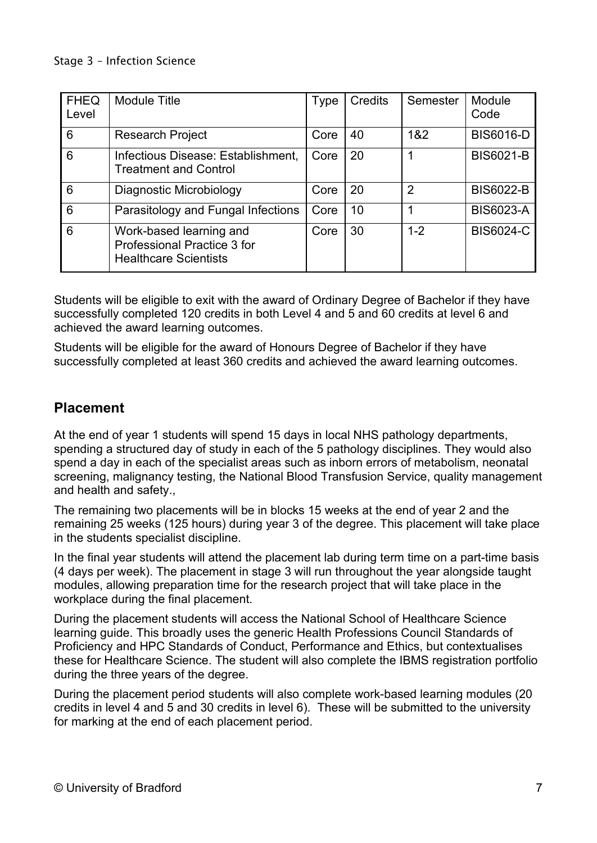| <b>FHEQ</b><br>Level | <b>Module Title</b>                                                                    | <b>Type</b> | Credits | Semester       | Module<br>Code   |
|----------------------|----------------------------------------------------------------------------------------|-------------|---------|----------------|------------------|
| 6                    | <b>Research Project</b>                                                                | Core        | 40      | 1&2            | <b>BIS6016-D</b> |
| 6                    | Infectious Disease: Establishment,<br><b>Treatment and Control</b>                     | Core        | 20      |                | <b>BIS6021-B</b> |
| 6                    | Diagnostic Microbiology                                                                | Core        | 20      | $\overline{2}$ | <b>BIS6022-B</b> |
| 6                    | Parasitology and Fungal Infections                                                     | Core        | 10      |                | <b>BIS6023-A</b> |
| 6                    | Work-based learning and<br>Professional Practice 3 for<br><b>Healthcare Scientists</b> | Core        | 30      | $1 - 2$        | <b>BIS6024-C</b> |

Students will be eligible to exit with the award of Ordinary Degree of Bachelor if they have successfully completed 120 credits in both Level 4 and 5 and 60 credits at level 6 and achieved the award learning outcomes.

Students will be eligible for the award of Honours Degree of Bachelor if they have successfully completed at least 360 credits and achieved the award learning outcomes.

## **Placement**

At the end of year 1 students will spend 15 days in local NHS pathology departments, spending a structured day of study in each of the 5 pathology disciplines. They would also spend a day in each of the specialist areas such as inborn errors of metabolism, neonatal screening, malignancy testing, the National Blood Transfusion Service, quality management and health and safety.,

The remaining two placements will be in blocks 15 weeks at the end of year 2 and the remaining 25 weeks (125 hours) during year 3 of the degree. This placement will take place in the students specialist discipline.

In the final year students will attend the placement lab during term time on a part-time basis (4 days per week). The placement in stage 3 will run throughout the year alongside taught modules, allowing preparation time for the research project that will take place in the workplace during the final placement.

During the placement students will access the National School of Healthcare Science learning guide. This broadly uses the generic Health Professions Council Standards of Proficiency and HPC Standards of Conduct, Performance and Ethics, but contextualises these for Healthcare Science. The student will also complete the IBMS registration portfolio during the three years of the degree.

During the placement period students will also complete work-based learning modules (20 credits in level 4 and 5 and 30 credits in level 6). These will be submitted to the university for marking at the end of each placement period.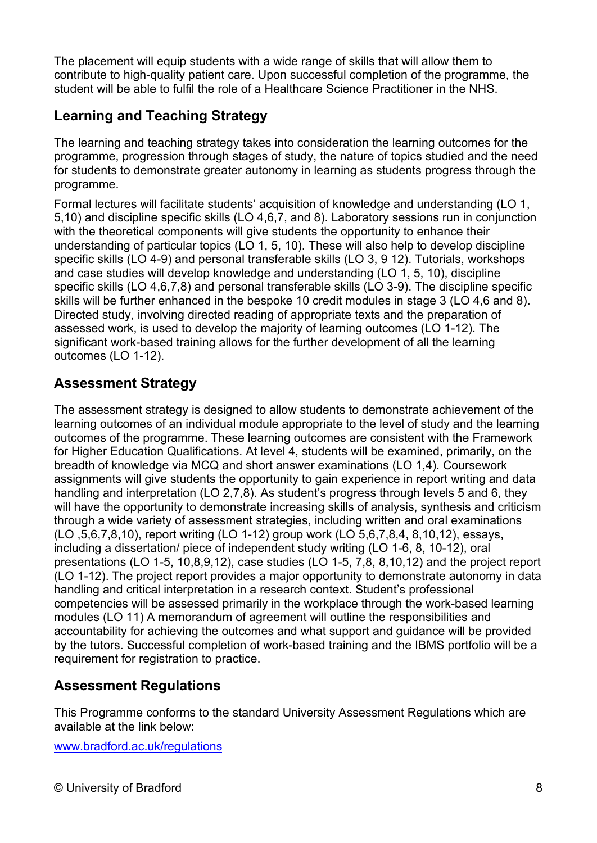The placement will equip students with a wide range of skills that will allow them to contribute to high-quality patient care. Upon successful completion of the programme, the student will be able to fulfil the role of a Healthcare Science Practitioner in the NHS.

# **Learning and Teaching Strategy**

The learning and teaching strategy takes into consideration the learning outcomes for the programme, progression through stages of study, the nature of topics studied and the need for students to demonstrate greater autonomy in learning as students progress through the programme.

Formal lectures will facilitate students' acquisition of knowledge and understanding (LO 1, 5,10) and discipline specific skills (LO 4,6,7, and 8). Laboratory sessions run in conjunction with the theoretical components will give students the opportunity to enhance their understanding of particular topics (LO 1, 5, 10). These will also help to develop discipline specific skills (LO 4-9) and personal transferable skills (LO 3, 9 12). Tutorials, workshops and case studies will develop knowledge and understanding (LO 1, 5, 10), discipline specific skills (LO 4,6,7,8) and personal transferable skills (LO 3-9). The discipline specific skills will be further enhanced in the bespoke 10 credit modules in stage 3 (LO 4,6 and 8). Directed study, involving directed reading of appropriate texts and the preparation of assessed work, is used to develop the majority of learning outcomes (LO 1-12). The significant work-based training allows for the further development of all the learning outcomes (LO 1-12).

# **Assessment Strategy**

The assessment strategy is designed to allow students to demonstrate achievement of the learning outcomes of an individual module appropriate to the level of study and the learning outcomes of the programme. These learning outcomes are consistent with the Framework for Higher Education Qualifications. At level 4, students will be examined, primarily, on the breadth of knowledge via MCQ and short answer examinations (LO 1,4). Coursework assignments will give students the opportunity to gain experience in report writing and data handling and interpretation (LO 2,7,8). As student's progress through levels 5 and 6, they will have the opportunity to demonstrate increasing skills of analysis, synthesis and criticism through a wide variety of assessment strategies, including written and oral examinations (LO ,5,6,7,8,10), report writing (LO 1-12) group work (LO 5,6,7,8,4, 8,10,12), essays, including a dissertation/ piece of independent study writing (LO 1-6, 8, 10-12), oral presentations (LO 1-5, 10,8,9,12), case studies (LO 1-5, 7,8, 8,10,12) and the project report (LO 1-12). The project report provides a major opportunity to demonstrate autonomy in data handling and critical interpretation in a research context. Student's professional competencies will be assessed primarily in the workplace through the work-based learning modules (LO 11) A memorandum of agreement will outline the responsibilities and accountability for achieving the outcomes and what support and guidance will be provided by the tutors. Successful completion of work-based training and the IBMS portfolio will be a requirement for registration to practice.

## **Assessment Regulations**

This Programme conforms to the standard University Assessment Regulations which are available at the link below:

[www.bradford.ac.uk/regulations](http://www.bradford.ac.uk/regulations)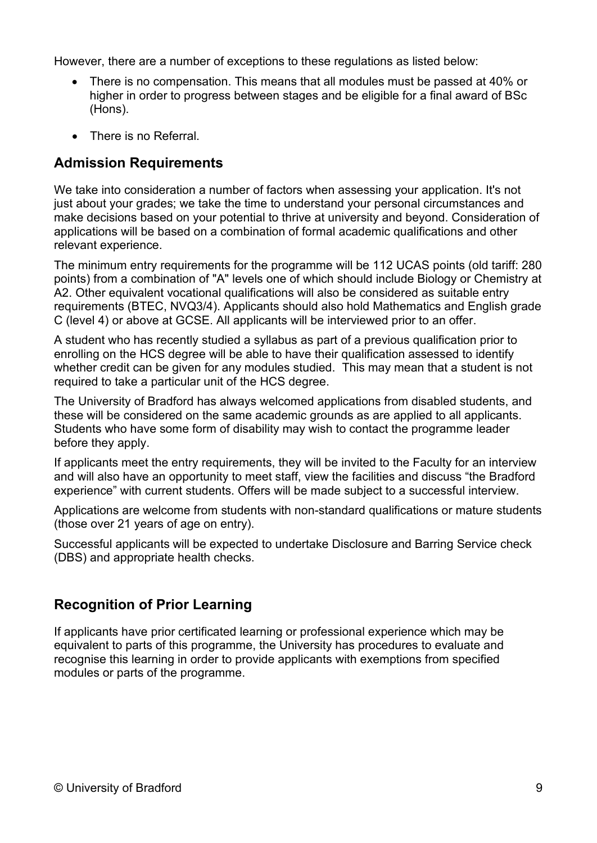However, there are a number of exceptions to these regulations as listed below:

- There is no compensation. This means that all modules must be passed at 40% or higher in order to progress between stages and be eligible for a final award of BSc (Hons).
- There is no Referral.

### **Admission Requirements**

We take into consideration a number of factors when assessing your application. It's not just about your grades; we take the time to understand your personal circumstances and make decisions based on your potential to thrive at university and beyond. Consideration of applications will be based on a combination of formal academic qualifications and other relevant experience.

The minimum entry requirements for the programme will be 112 UCAS points (old tariff: 280 points) from a combination of "A" levels one of which should include Biology or Chemistry at A2. Other equivalent vocational qualifications will also be considered as suitable entry requirements (BTEC, NVQ3/4). Applicants should also hold Mathematics and English grade C (level 4) or above at GCSE. All applicants will be interviewed prior to an offer.

A student who has recently studied a syllabus as part of a previous qualification prior to enrolling on the HCS degree will be able to have their qualification assessed to identify whether credit can be given for any modules studied. This may mean that a student is not required to take a particular unit of the HCS degree.

The University of Bradford has always welcomed applications from disabled students, and these will be considered on the same academic grounds as are applied to all applicants. Students who have some form of disability may wish to contact the programme leader before they apply.

If applicants meet the entry requirements, they will be invited to the Faculty for an interview and will also have an opportunity to meet staff, view the facilities and discuss "the Bradford experience" with current students. Offers will be made subject to a successful interview.

Applications are welcome from students with non-standard qualifications or mature students (those over 21 years of age on entry).

Successful applicants will be expected to undertake Disclosure and Barring Service check (DBS) and appropriate health checks.

### **Recognition of Prior Learning**

If applicants have prior certificated learning or professional experience which may be equivalent to parts of this programme, the University has procedures to evaluate and recognise this learning in order to provide applicants with exemptions from specified modules or parts of the programme.